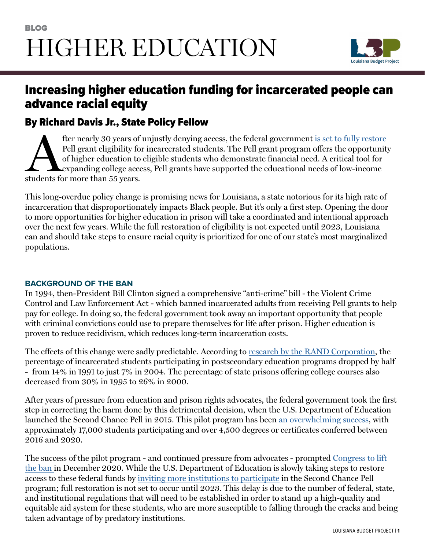

# Increasing higher education funding for incarcerated people can advance racial equity

### By Richard Davis Jr., State Policy Fellow

fter nearly 30 years of unjustly denying access, the federal government <u>is set to fully restore</u><br>Pell grant eligibility for incarcerated students. The Pell grant program offers the opportunity<br>of higher education to eligi Pell grant eligibility for incarcerated students. The Pell grant program offers the opportunity of higher education to eligible students who demonstrate financial need. A critical tool for expanding college access, Pell grants have supported the educational needs of low-income students for more than 55 years.

This long-overdue policy change is promising news for Louisiana, a state notorious for its high rate of incarceration that disproportionately impacts Black people. But it's only a first step. Opening the door to more opportunities for higher education in prison will take a coordinated and intentional approach over the next few years. While the full restoration of eligibility is not expected until 2023, Louisiana can and should take steps to ensure racial equity is prioritized for one of our state's most marginalized populations.

#### **BACKGROUND OF THE BAN**

In 1994, then-President Bill Clinton signed a comprehensive "anti-crime'' bill - the Violent Crime Control and Law Enforcement Act - which banned incarcerated adults from receiving Pell grants to help pay for college. In doing so, the federal government took away an important opportunity that people with criminal convictions could use to prepare themselves for life after prison. Higher education is proven to reduce recidivism, which reduces long-term incarceration costs.

The effects of this change were sadly predictable. According to [research by the RAND Corporation,](https://www.rand.org/pubs/research_reports/RR564.html) the percentage of incarcerated students participating in postsecondary education programs dropped by half - from 14% in 1991 to just 7% in 2004. The percentage of state prisons offering college courses also decreased from 30% in 1995 to 26% in 2000.

After years of pressure from education and prison rights advocates, the federal government took the first step in correcting the harm done by this detrimental decision, when the U.S. Department of Education launched the Second Chance Pell in 2015. This pilot program has been [an overwhelming success](https://www.vera.org/blog/new-data-second-chance-pell-continues-to-open-doors-for-more-students), with approximately 17,000 students participating and over 4,500 degrees or certificates conferred between 2016 and 2020.

The success of the pilot program - and continued pressure from advocates - prompted [Congress to lift](https://www.vera.org/publications/restoring-access-to-pell-grants-for-incarcerated-students)  [the ban i](https://www.vera.org/publications/restoring-access-to-pell-grants-for-incarcerated-students)n December 2020. While the U.S. Department of Education is slowly taking steps to restore access to these federal funds by [inviting more institutions to participate](https://blog.ed.gov/2021/07/new-efforts-to-increase-access-to-pell-grants-for-incarcerated-students/) in the Second Chance Pell program; full restoration is not set to occur until 2023. This delay is due to the number of federal, state, and institutional regulations that will need to be established in order to stand up a high-quality and equitable aid system for these students, who are more susceptible to falling through the cracks and being taken advantage of by predatory institutions.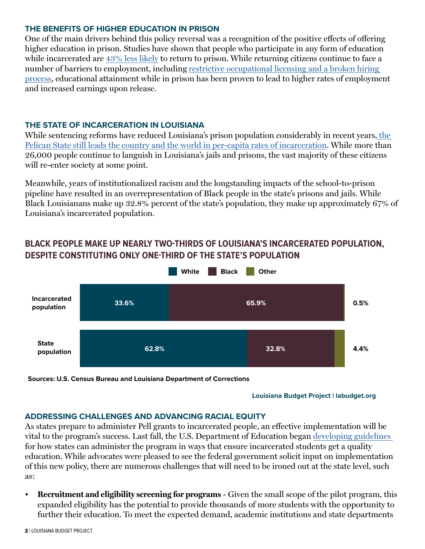#### **THE BENEFITS OF HIGHER EDUCATION IN PRISON**

One of the main drivers behind this policy reversal was a recognition of the positive effects of offering higher education in prison. Studies have shown that people who participate in any form of education while incarcerated are [43% less likely](https://www.rand.org/blog/rand-review/2016/01/course-correction-the-case-for-correctional-education.html) to return to prison. While returning citizens continue to face a number of barriers to employment, including [restrictive occupational licensing and a broken hiring](https://www.vera.org/publications/investing-in-futures-education-in-prison)  [process](https://www.vera.org/publications/investing-in-futures-education-in-prison), educational attainment while in prison has been proven to lead to higher rates of employment and increased earnings upon release.

#### **THE STATE OF INCARCERATION IN LOUISIANA**

While sentencing reforms have reduced Louisiana's prison population considerably in recent years[, the](https://www.prisonpolicy.org/global/2021.html)  [Pelican State still leads the country and the world in per-capita rates of incarceration.](https://www.prisonpolicy.org/global/2021.html) While more than 26,000 people continue to languish in Louisiana's jails and prisons, the vast majority of these citizens will re-enter society at some point.

Meanwhile, years of institutionalized racism and the longstanding impacts of the school-to-prison pipeline have resulted in an overrepresentation of Black people in the state's prisons and jails. While Black Louisianans make up 32.8% percent of the state's population, they make up approximately 67% of Louisiana's incarcerated population.

## **White Black Other Incarcerated population State population 4.4% 0.5% 62.8% 32.8% 33.6% 65.9%**

### **BLACK PEOPLE MAKE UP NEARLY TWO-THIRDS OF LOUISIANA'S INCARCERATED POPULATION, DESPITE CONSTITUTING ONLY ONE-THIRD OF THE STATE'S POPULATION**

**Sources: U.S. Census Bureau and Louisiana Department of Corrections**

**Louisiana Budget Project | labudget.org**

#### **ADDRESSING CHALLENGES AND ADVANCING RACIAL EQUITY**

As states prepare to administer Pell grants to incarcerated people, an effective implementation will be vital to the program's success. Last fall, the U.S. Department of Education began [developing guidelines](https://www.diverseeducation.com/leadership-policy/article/15286789/whats-next-for-pell-grants-to-incarcerated-students)  for how states can administer the program in ways that ensure incarcerated students get a quality education. While advocates were pleased to see the federal government solicit input on implementation of this new policy, there are numerous challenges that will need to be ironed out at the state level, such as:

**• Recruitment and eligibility screening for programs** - Given the small scope of the pilot program, this expanded eligibility has the potential to provide thousands of more students with the opportunity to further their education. To meet the expected demand, academic institutions and state departments